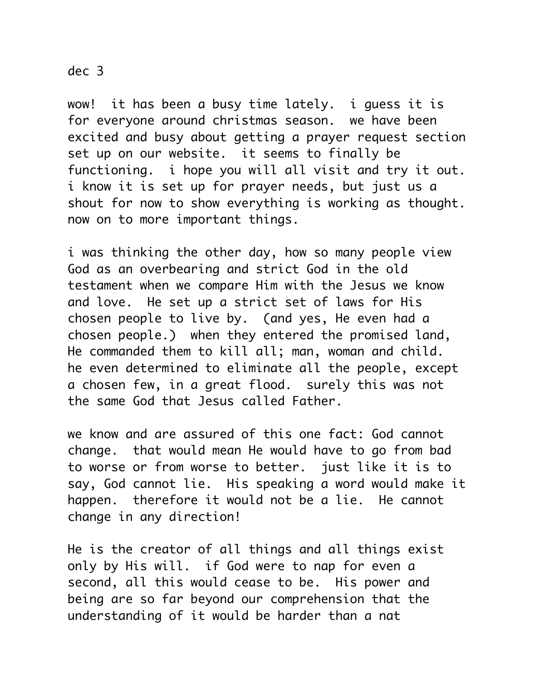## dec 3

wow! it has been a busy time lately. i guess it is for everyone around christmas season. we have been excited and busy about getting a prayer request section set up on our website. it seems to finally be functioning. i hope you will all visit and try it out. i know it is set up for prayer needs, but just us a shout for now to show everything is working as thought. now on to more important things.

i was thinking the other day, how so many people view God as an overbearing and strict God in the old testament when we compare Him with the Jesus we know and love. He set up a strict set of laws for His chosen people to live by. (and yes, He even had a chosen people.) when they entered the promised land, He commanded them to kill all; man, woman and child. he even determined to eliminate all the people, except a chosen few, in a great flood. surely this was not the same God that Jesus called Father.

we know and are assured of this one fact: God cannot change. that would mean He would have to go from bad to worse or from worse to better. just like it is to say, God cannot lie. His speaking a word would make it happen. therefore it would not be a lie. He cannot change in any direction!

He is the creator of all things and all things exist only by His will. if God were to nap for even a second, all this would cease to be. His power and being are so far beyond our comprehension that the understanding of it would be harder than a nat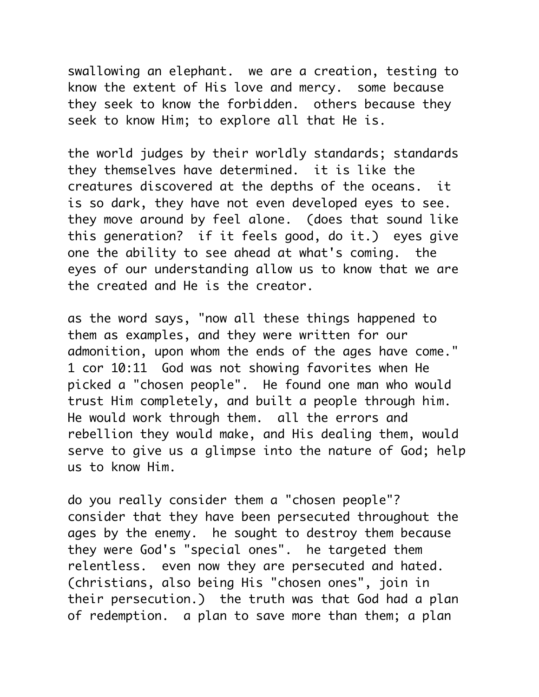swallowing an elephant. we are a creation, testing to know the extent of His love and mercy. some because they seek to know the forbidden. others because they seek to know Him; to explore all that He is.

the world judges by their worldly standards; standards they themselves have determined. it is like the creatures discovered at the depths of the oceans. it is so dark, they have not even developed eyes to see. they move around by feel alone. (does that sound like this generation? if it feels good, do it.) eyes give one the ability to see ahead at what's coming. the eyes of our understanding allow us to know that we are the created and He is the creator.

as the word says, "now all these things happened to them as examples, and they were written for our admonition, upon whom the ends of the ages have come." 1 cor 10:11 God was not showing favorites when He picked a "chosen people". He found one man who would trust Him completely, and built a people through him. He would work through them. all the errors and rebellion they would make, and His dealing them, would serve to give us a glimpse into the nature of God; help us to know Him.

do you really consider them a "chosen people"? consider that they have been persecuted throughout the ages by the enemy. he sought to destroy them because they were God's "special ones". he targeted them relentless. even now they are persecuted and hated. (christians, also being His "chosen ones", join in their persecution.) the truth was that God had a plan of redemption. a plan to save more than them; a plan